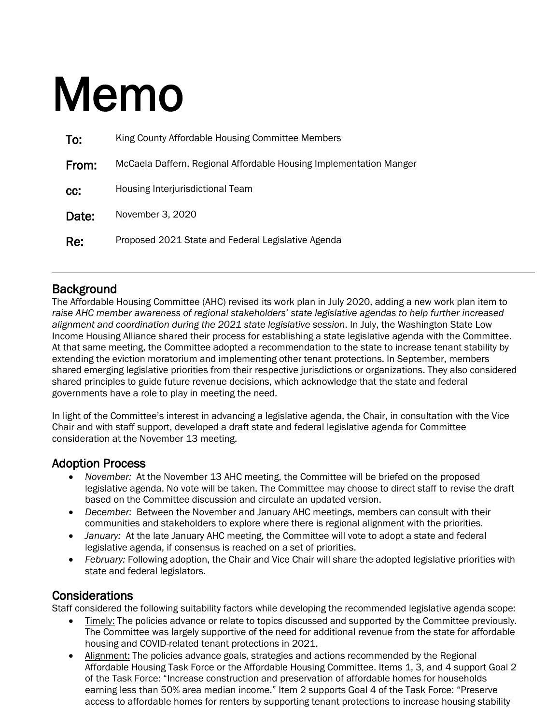# Memo

| To:   | King County Affordable Housing Committee Members                   |  |
|-------|--------------------------------------------------------------------|--|
| From: | McCaela Daffern, Regional Affordable Housing Implementation Manger |  |
| cc:   | Housing Interjurisdictional Team                                   |  |
| Date: | November 3, 2020                                                   |  |
| Re:   | Proposed 2021 State and Federal Legislative Agenda                 |  |

**Background**<br>The Affordable Housing Committee (AHC) revised its work plan in July 2020, adding a new work plan item to *raise AHC member awareness of regional stakeholders' state legislative agendas to help further increased alignment and coordination during the 2021 state legislative session*. In July, the Washington State Low Income Housing Alliance shared their process for establishing a state legislative agenda with the Committee. At that same meeting, the Committee adopted a recommendation to the state to increase tenant stability by extending the eviction moratorium and implementing other tenant protections. In September, members shared emerging legislative priorities from their respective jurisdictions or organizations. They also considered shared principles to guide future revenue decisions, which acknowledge that the state and federal governments have a role to play in meeting the need.

In light of the Committee's interest in advancing a legislative agenda, the Chair, in consultation with the Vice Chair and with staff support, developed a draft state and federal legislative agenda for Committee consideration at the November 13 meeting.

## Adoption Process

- *November:* At the November 13 AHC meeting, the Committee will be briefed on the proposed legislative agenda. No vote will be taken. The Committee may choose to direct staff to revise the draft based on the Committee discussion and circulate an updated version.
- *December:* Between the November and January AHC meetings, members can consult with their communities and stakeholders to explore where there is regional alignment with the priorities.
- *January:* At the late January AHC meeting, the Committee will vote to adopt a state and federal legislative agenda, if consensus is reached on a set of priorities.
- *February:* Following adoption, the Chair and Vice Chair will share the adopted legislative priorities with state and federal legislators.

Considerations<br>Staff considered the following suitability factors while developing the recommended legislative agenda scope:

- Timely: The policies advance or relate to topics discussed and supported by the Committee previously. The Committee was largely supportive of the need for additional revenue from the state for affordable housing and COVID-related tenant protections in 2021.
- Alignment: The policies advance goals, strategies and actions recommended by the Regional Affordable Housing Task Force or the Affordable Housing Committee. Items 1, 3, and 4 support Goal 2 of the Task Force: "Increase construction and preservation of affordable homes for households earning less than 50% area median income." Item 2 supports Goal 4 of the Task Force: "Preserve access to affordable homes for renters by supporting tenant protections to increase housing stability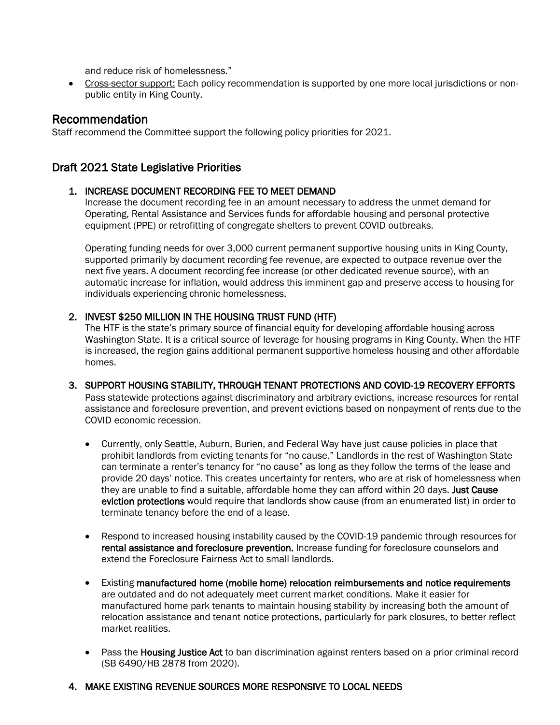and reduce risk of homelessness."

• Cross-sector support: Each policy recommendation is supported by one more local jurisdictions or nonpublic entity in King County.

**Recommendation**<br>Staff recommend the Committee support the following policy priorities for 2021.

# Draft 2021 State Legislative Priorities

## 1. INCREASE DOCUMENT RECORDING FEE TO MEET DEMAND

Increase the document recording fee in an amount necessary to address the unmet demand for Operating, Rental Assistance and Services funds for affordable housing and personal protective equipment (PPE) or retrofitting of congregate shelters to prevent COVID outbreaks.

Operating funding needs for over 3,000 current permanent supportive housing units in King County, supported primarily by document recording fee revenue, are expected to outpace revenue over the next five years. A document recording fee increase (or other dedicated revenue source), with an automatic increase for inflation, would address this imminent gap and preserve access to housing for individuals experiencing chronic homelessness.

### 2. INVEST \$250 MILLION IN THE HOUSING TRUST FUND (HTF)

The HTF is the state's primary source of financial equity for developing affordable housing across Washington State. It is a critical source of leverage for housing programs in King County. When the HTF is increased, the region gains additional permanent supportive homeless housing and other affordable homes.

### 3. SUPPORT HOUSING STABILITY, THROUGH TENANT PROTECTIONS AND COVID-19 RECOVERY EFFORTS

Pass statewide protections against discriminatory and arbitrary evictions, increase resources for rental assistance and foreclosure prevention, and prevent evictions based on nonpayment of rents due to the COVID economic recession.

- Currently, only Seattle, Auburn, Burien, and Federal Way have just cause policies in place that prohibit landlords from evicting tenants for "no cause." Landlords in the rest of Washington State can terminate a renter's tenancy for "no cause" as long as they follow the terms of the lease and provide 20 days' notice. This creates uncertainty for renters, who are at risk of homelessness when they are unable to find a suitable, affordable home they can afford within 20 days. Just Cause eviction protections would require that landlords show cause (from an enumerated list) in order to terminate tenancy before the end of a lease.
- Respond to increased housing instability caused by the COVID-19 pandemic through resources for rental assistance and foreclosure prevention. Increase funding for foreclosure counselors and extend the Foreclosure Fairness Act to small landlords.
- Existing manufactured home (mobile home) relocation reimbursements and notice requirements are outdated and do not adequately meet current market conditions. Make it easier for manufactured home park tenants to maintain housing stability by increasing both the amount of relocation assistance and tenant notice protections, particularly for park closures, to better reflect market realities.
- Pass the **Housing Justice Act** to ban discrimination against renters based on a prior criminal record (SB 6490/HB 2878 from 2020).

### 4. MAKE EXISTING REVENUE SOURCES MORE RESPONSIVE TO LOCAL NEEDS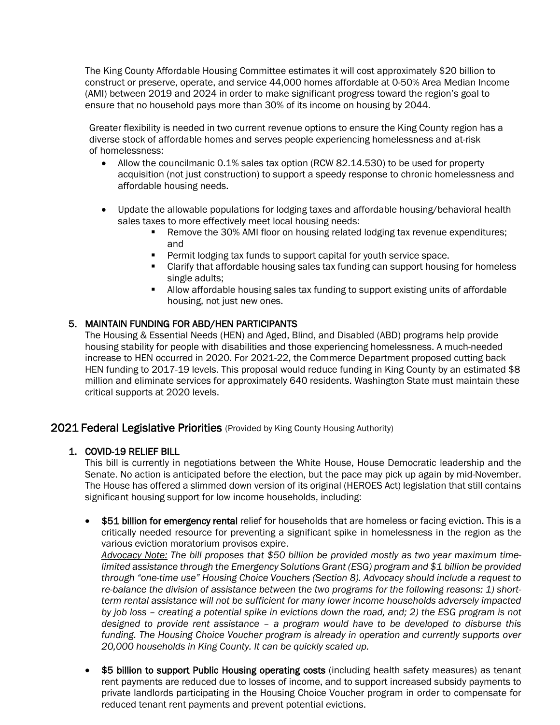The King County Affordable Housing Committee estimates it will cost approximately \$20 billion to construct or preserve, operate, and service 44,000 homes affordable at 0-50% Area Median Income (AMI) between 2019 and 2024 in order to make significant progress toward the region's goal to ensure that no household pays more than 30% of its income on housing by 2044.

Greater flexibility is needed in two current revenue options to ensure the King County region has a diverse stock of affordable homes and serves people experiencing homelessness and at-risk of homelessness:

- Allow the councilmanic 0.1% sales tax option (RCW 82.14.530) to be used for property acquisition (not just construction) to support a speedy response to chronic homelessness and affordable housing needs.
- Update the allowable populations for lodging taxes and affordable housing/behavioral health sales taxes to more effectively meet local housing needs:
	- **Remove the 30% AMI floor on housing related lodging tax revenue expenditures;** and
	- **Permit lodging tax funds to support capital for youth service space.**
	- Clarify that affordable housing sales tax funding can support housing for homeless single adults;
	- Allow affordable housing sales tax funding to support existing units of affordable housing, not just new ones.

### 5. MAINTAIN FUNDING FOR ABD/HEN PARTICIPANTS

The Housing & Essential Needs (HEN) and Aged, Blind, and Disabled (ABD) programs help provide housing stability for people with disabilities and those experiencing homelessness. A much-needed increase to HEN occurred in 2020. For 2021-22, the Commerce Department proposed cutting back HEN funding to 2017-19 levels. This proposal would reduce funding in King County by an estimated \$8 million and eliminate services for approximately 640 residents. Washington State must maintain these critical supports at 2020 levels.

## 2021 Federal Legislative Priorities (Provided by King County Housing Authority)

### 1. COVID-19 RELIEF BILL

This bill is currently in negotiations between the White House, House Democratic leadership and the Senate. No action is anticipated before the election, but the pace may pick up again by mid-November. The House has offered a slimmed down version of its original (HEROES Act) legislation that still contains significant housing support for low income households, including:

• \$51 billion for emergency rental relief for households that are homeless or facing eviction. This is a critically needed resource for preventing a significant spike in homelessness in the region as the various eviction moratorium provisos expire.

*Advocacy Note: The bill proposes that \$50 billion be provided mostly as two year maximum timelimited assistance through the Emergency Solutions Grant (ESG) program and \$1 billion be provided through "one-time use" Housing Choice Vouchers (Section 8). Advocacy should include a request to re-balance the division of assistance between the two programs for the following reasons: 1) shortterm rental assistance will not be sufficient for many lower income households adversely impacted by job loss – creating a potential spike in evictions down the road, and; 2) the ESG program is not designed to provide rent assistance – a program would have to be developed to disburse this funding. The Housing Choice Voucher program is already in operation and currently supports over 20,000 households in King County. It can be quickly scaled up.*

• \$5 billion to support Public Housing operating costs (including health safety measures) as tenant rent payments are reduced due to losses of income, and to support increased subsidy payments to private landlords participating in the Housing Choice Voucher program in order to compensate for reduced tenant rent payments and prevent potential evictions.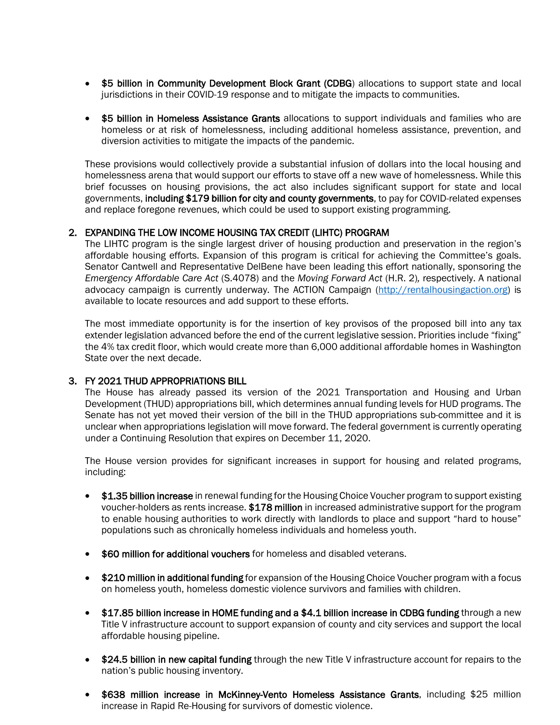- \$5 billion in Community Development Block Grant (CDBG) allocations to support state and local jurisdictions in their COVID-19 response and to mitigate the impacts to communities.
- \$5 billion in Homeless Assistance Grants allocations to support individuals and families who are homeless or at risk of homelessness, including additional homeless assistance, prevention, and diversion activities to mitigate the impacts of the pandemic.

These provisions would collectively provide a substantial infusion of dollars into the local housing and homelessness arena that would support our efforts to stave off a new wave of homelessness. While this brief focusses on housing provisions, the act also includes significant support for state and local governments, including \$179 billion for city and county governments, to pay for COVID-related expenses and replace foregone revenues, which could be used to support existing programming.

#### 2. EXPANDING THE LOW INCOME HOUSING TAX CREDIT (LIHTC) PROGRAM

The LIHTC program is the single largest driver of housing production and preservation in the region's affordable housing efforts. Expansion of this program is critical for achieving the Committee's goals. Senator Cantwell and Representative DelBene have been leading this effort nationally, sponsoring the *Emergency Affordable Care Act* (S.4078) and the *Moving Forward Act* (H.R. 2)*,* respectively. A national advocacy campaign is currently underway. The ACTION Campaign [\(http://rentalhousingaction.org\)](http://rentalhousingaction.org/) is available to locate resources and add support to these efforts.

The most immediate opportunity is for the insertion of key provisos of the proposed bill into any tax extender legislation advanced before the end of the current legislative session. Priorities include "fixing" the 4% tax credit floor, which would create more than 6,000 additional affordable homes in Washington State over the next decade.

#### 3. FY 2021 THUD APPROPRIATIONS BILL

The House has already passed its version of the 2021 Transportation and Housing and Urban Development (THUD) appropriations bill, which determines annual funding levels for HUD programs. The Senate has not yet moved their version of the bill in the THUD appropriations sub-committee and it is unclear when appropriations legislation will move forward. The federal government is currently operating under a Continuing Resolution that expires on December 11, 2020.

The House version provides for significant increases in support for housing and related programs, including:

- \$1.35 billion increase in renewal funding for the Housing Choice Voucher program to support existing voucher-holders as rents increase. \$178 million in increased administrative support for the program to enable housing authorities to work directly with landlords to place and support "hard to house" populations such as chronically homeless individuals and homeless youth.
- \$60 million for additional vouchers for homeless and disabled veterans.
- \$210 million in additional funding for expansion of the Housing Choice Voucher program with a focus on homeless youth, homeless domestic violence survivors and families with children.
- \$17.85 billion increase in HOME funding and a \$4.1 billion increase in CDBG funding through a new Title V infrastructure account to support expansion of county and city services and support the local affordable housing pipeline.
- \$24.5 billion in new capital funding through the new Title V infrastructure account for repairs to the nation's public housing inventory.
- \$638 million increase in McKinney-Vento Homeless Assistance Grants, including \$25 million increase in Rapid Re-Housing for survivors of domestic violence.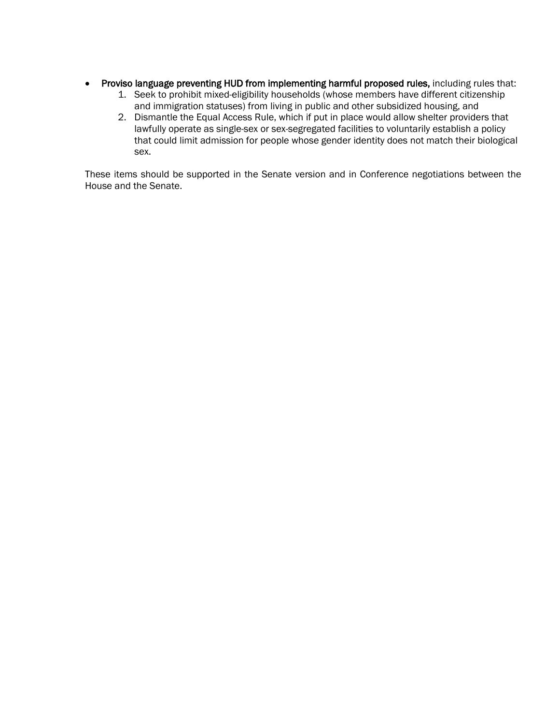- Proviso language preventing HUD from implementing harmful proposed rules, including rules that:
	- 1. Seek to prohibit mixed-eligibility households (whose members have different citizenship and immigration statuses) from living in public and other subsidized housing, and
	- 2. Dismantle the Equal Access Rule, which if put in place would allow shelter providers that lawfully operate as single-sex or sex-segregated facilities to voluntarily establish a policy that could limit admission for people whose gender identity does not match their biological sex.

These items should be supported in the Senate version and in Conference negotiations between the House and the Senate.